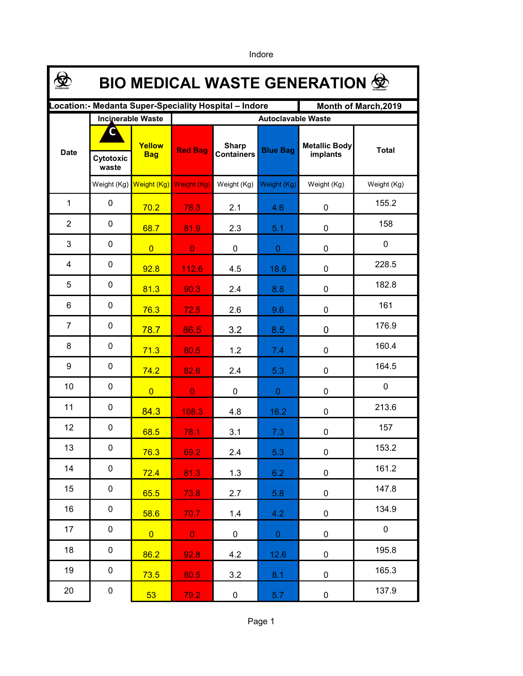**\$ BIO MEDICAL WASTE GENERATION Location:- Medanta Super-Speciality Hospital – Indore Month of March,2019 Incinerable Waste Autoclavable Waste CYellow Metallic Body Sharp implants Cytotoxic Bag Red Bag Containers Blue Bag** Date **Red Bag Containers Blue Bag Exercise Red Bag Red Bag Exercise Red Bag Blue Bag Exercise Proteined Boys Bag Containers waste** Weight (Kg) Weight (Kg) Weight (Kg) Weight (Kg) Weight (Kg) Weight (Kg) Weight (Kg) 1 0 155.2 <mark>70.2 | 78.3 |</mark> 2.1 | 4.6 | 0 2 0 158 **68.7** 81.9 2.3 5.1 0 3 0  $\Omega$ 0 0 0 0 0 0 4 0 228.5 **92.8 112.6 4.5 18.6 0** 5 0 182.8 **81.3** 90.3 2.4 8.8 0 6 0 161 76.3 72.5 2.6 9.6 0 176.9 7 0 <mark>78.7 86.5</mark> 3.2 8.5 0 8 0 160.4 71.3 80.5 1.2 7.4 0 9 0 164.5 74.2 82.6 2.4 5.3 0  $10 \quad | \quad 0$ 0 0 0 0 0 0 0 11 0 213.6 **84.3** 108.3 4.8 16.2 0  $12 \quad | \quad 0$ 157 68.5 78.1 3.1 7.3 0 13 0 153.2 <mark>76.3 69.2 2.4 5.3 0</mark>  $14 \quad 0$ 161.2 72.4 81.3 1.3 6.2 0 15 0 147.8 <mark>65.5 | 73.8 |</mark> 2.7 | 5.8 | 0 16 0 134.9 <mark>58.6 | 70.7 |</mark> 1.4 | 4.2 | 0 17 0 0 0 0 0 0 0 0 18 0 195.8 **86.2** 92.8 4.2 4.2 0 19 0 165.3 73.5 80.5 3.2 8.1 0 20 0 137.9 53 79.2 0 5.7 0

Indore

Page 1